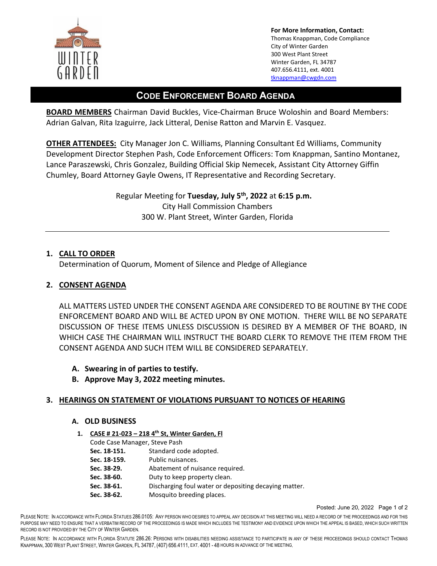

**For More Information, Contact:**  Thomas Knappman, Code Compliance City of Winter Garden 300 West Plant Street Winter Garden, FL 34787 407.656.4111, ext. 4001 [tknappman@cwgdn.com](mailto:tknappman@cwgdn.com) 

# **CODE ENFORCEMENT BOARD AGENDA**

**BOARD MEMBERS** Chairman David Buckles, Vice-Chairman Bruce Woloshin and Board Members: Adrian Galvan, Rita Izaguirre, Jack Litteral, Denise Ratton and Marvin E. Vasquez.

**OTHER ATTENDEES:** City Manager Jon C. Williams, Planning Consultant Ed Williams, Community Development Director Stephen Pash, Code Enforcement Officers: Tom Knappman, Santino Montanez, Lance Paraszewski, Chris Gonzalez, Building Official Skip Nemecek, Assistant City Attorney Giffin Chumley, Board Attorney Gayle Owens, IT Representative and Recording Secretary.

> Regular Meeting for **Tuesday, July 5th, 2022** at **6:15 p.m.**  City Hall Commission Chambers 300 W. Plant Street, Winter Garden, Florida

### **1. CALL TO ORDER**

Determination of Quorum, Moment of Silence and Pledge of Allegiance

## **2. CONSENT AGENDA**

ALL MATTERS LISTED UNDER THE CONSENT AGENDA ARE CONSIDERED TO BE ROUTINE BY THE CODE ENFORCEMENT BOARD AND WILL BE ACTED UPON BY ONE MOTION. THERE WILL BE NO SEPARATE DISCUSSION OF THESE ITEMS UNLESS DISCUSSION IS DESIRED BY A MEMBER OF THE BOARD, IN WHICH CASE THE CHAIRMAN WILL INSTRUCT THE BOARD CLERK TO REMOVE THE ITEM FROM THE CONSENT AGENDA AND SUCH ITEM WILL BE CONSIDERED SEPARATELY.

- **A. Swearing in of parties to testify.**
- **B. Approve May 3, 2022 meeting minutes.**

### **3. HEARINGS ON STATEMENT OF VIOLATIONS PURSUANT TO NOTICES OF HEARING**

### **A. OLD BUSINESS**

**1. CASE # 21-023 – 218 4th St, Winter Garden, Fl** 

| Code Case Manager, Steve Pash |                                                       |  |
|-------------------------------|-------------------------------------------------------|--|
| Sec. 18-151.                  | Standard code adopted.                                |  |
| Sec. 18-159.                  | Public nuisances.                                     |  |
| Sec. 38-29.                   | Abatement of nuisance required.                       |  |
| Sec. 38-60.                   | Duty to keep property clean.                          |  |
| Sec. 38-61.                   | Discharging foul water or depositing decaying matter. |  |
| Sec. 38-62.                   | Mosquito breeding places.                             |  |

Posted: June 20, 2022 Page 1 of 2

PLEASE NOTE: IN ACCORDANCE WITH FLORIDA STATUES 286.0105: ANY PERSON WHO DESIRES TO APPEAL ANY DECISION AT THIS MEETING WILL NEED A RECORD OF THE PROCEEDINGS AND FOR THIS PURPOSE MAY NEED TO ENSURE THAT A VERBATIM RECORD OF THE PROCEEDINGS IS MADE WHICH INCLUDES THE TESTIMONY AND EVIDENCE UPON WHICH THE APPEAL IS BASED, WHICH SUCH WRITTEN RECORD IS NOT PROVIDED BY THE CITY OF WINTER GARDEN.

PLEASE NOTE: IN ACCORDANCE WITH FLORIDA STATUTE 286.26: PERSONS WITH DISABILITIES NEEDING ASSISTANCE TO PARTICIPATE IN ANY OF THESE PROCEEDINGS SHOULD CONTACT THOMAS KNAPPMAN, 300 WEST PLANT STREET, WINTER GARDEN, FL 34787, (407) 656.4111, EXT. 4001 - 48 HOURS IN ADVANCE OF THE MEETING.